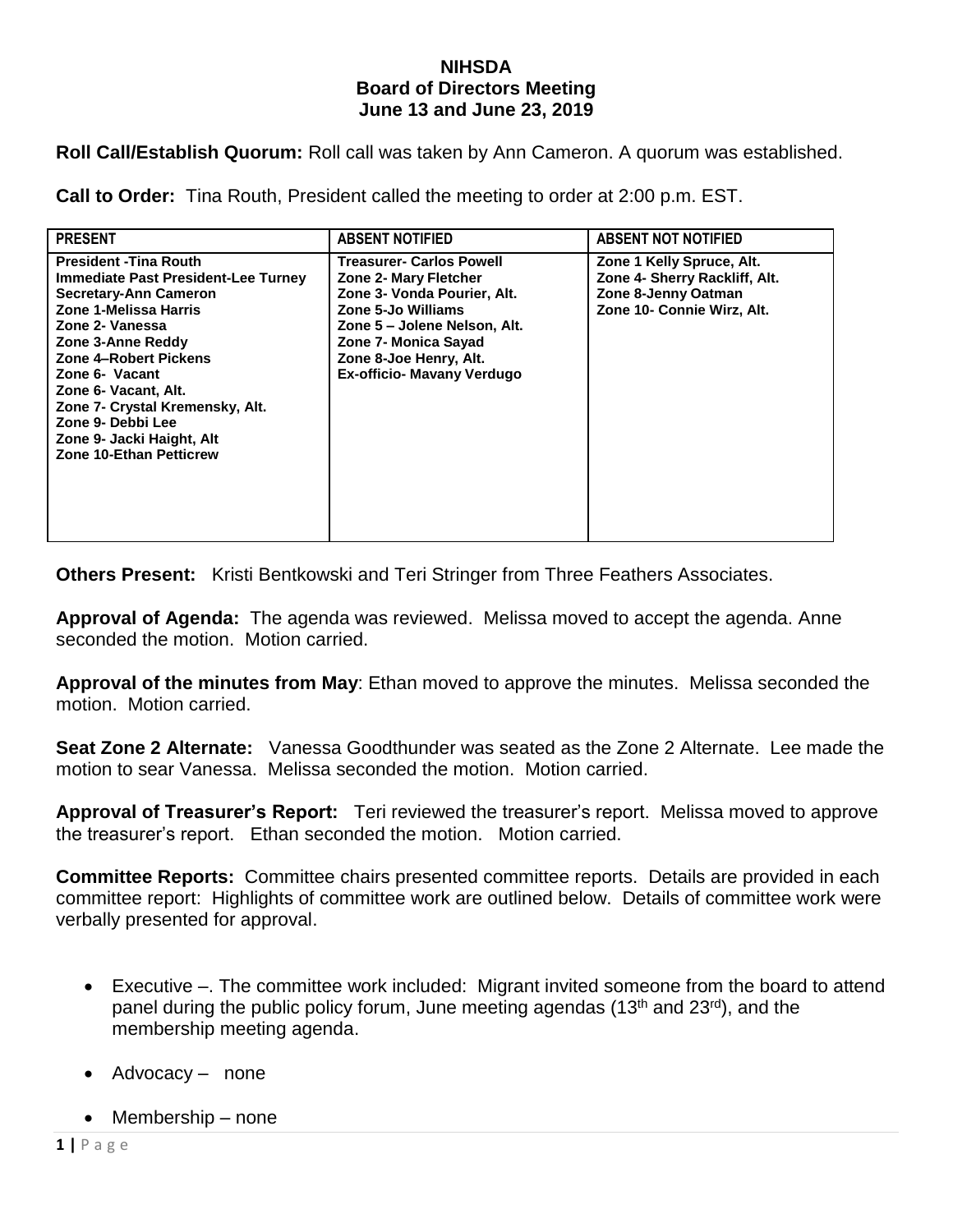## **NIHSDA Board of Directors Meeting June 13 and June 23, 2019**

**Roll Call/Establish Quorum:** Roll call was taken by Ann Cameron. A quorum was established.

**Call to Order:** Tina Routh, President called the meeting to order at 2:00 p.m. EST.

| <b>PRESENT</b>                                                                                                                                                                                                                                                                                                                                                  | <b>ABSENT NOTIFIED</b>                                                                                                                                                                                                                      | <b>ABSENT NOT NOTIFIED</b>                                                                                      |
|-----------------------------------------------------------------------------------------------------------------------------------------------------------------------------------------------------------------------------------------------------------------------------------------------------------------------------------------------------------------|---------------------------------------------------------------------------------------------------------------------------------------------------------------------------------------------------------------------------------------------|-----------------------------------------------------------------------------------------------------------------|
| <b>President - Tina Routh</b><br><b>Immediate Past President-Lee Turney</b><br>Secretary-Ann Cameron<br>Zone 1-Melissa Harris<br>Zone 2- Vanessa<br>Zone 3-Anne Reddy<br>Zone 4-Robert Pickens<br>Zone 6- Vacant<br>Zone 6- Vacant, Alt.<br>Zone 7- Crystal Kremensky, Alt.<br>Zone 9- Debbi Lee<br>Zone 9- Jacki Haight, Alt<br><b>Zone 10-Ethan Petticrew</b> | <b>Treasurer- Carlos Powell</b><br><b>Zone 2- Mary Fletcher</b><br>Zone 3- Vonda Pourier, Alt.<br>Zone 5-Jo Williams<br>Zone 5 – Jolene Nelson, Alt.<br>Zone 7- Monica Sayad<br>Zone 8-Joe Henry, Alt.<br><b>Ex-officio- Mavany Verdugo</b> | Zone 1 Kelly Spruce, Alt.<br>Zone 4- Sherry Rackliff, Alt.<br>Zone 8-Jenny Oatman<br>Zone 10- Connie Wirz, Alt. |

**Others Present:** Kristi Bentkowski and Teri Stringer from Three Feathers Associates.

**Approval of Agenda:** The agenda was reviewed. Melissa moved to accept the agenda. Anne seconded the motion. Motion carried.

**Approval of the minutes from May**: Ethan moved to approve the minutes. Melissa seconded the motion. Motion carried.

**Seat Zone 2 Alternate:** Vanessa Goodthunder was seated as the Zone 2 Alternate. Lee made the motion to sear Vanessa. Melissa seconded the motion. Motion carried.

**Approval of Treasurer's Report:** Teri reviewed the treasurer's report. Melissa moved to approve the treasurer's report. Ethan seconded the motion. Motion carried.

**Committee Reports:** Committee chairs presented committee reports. Details are provided in each committee report: Highlights of committee work are outlined below. Details of committee work were verbally presented for approval.

- Executive –. The committee work included: Migrant invited someone from the board to attend panel during the public policy forum, June meeting agendas (13<sup>th</sup> and 23<sup>rd</sup>), and the membership meeting agenda.
- Advocacy none
- $\bullet$  Membership none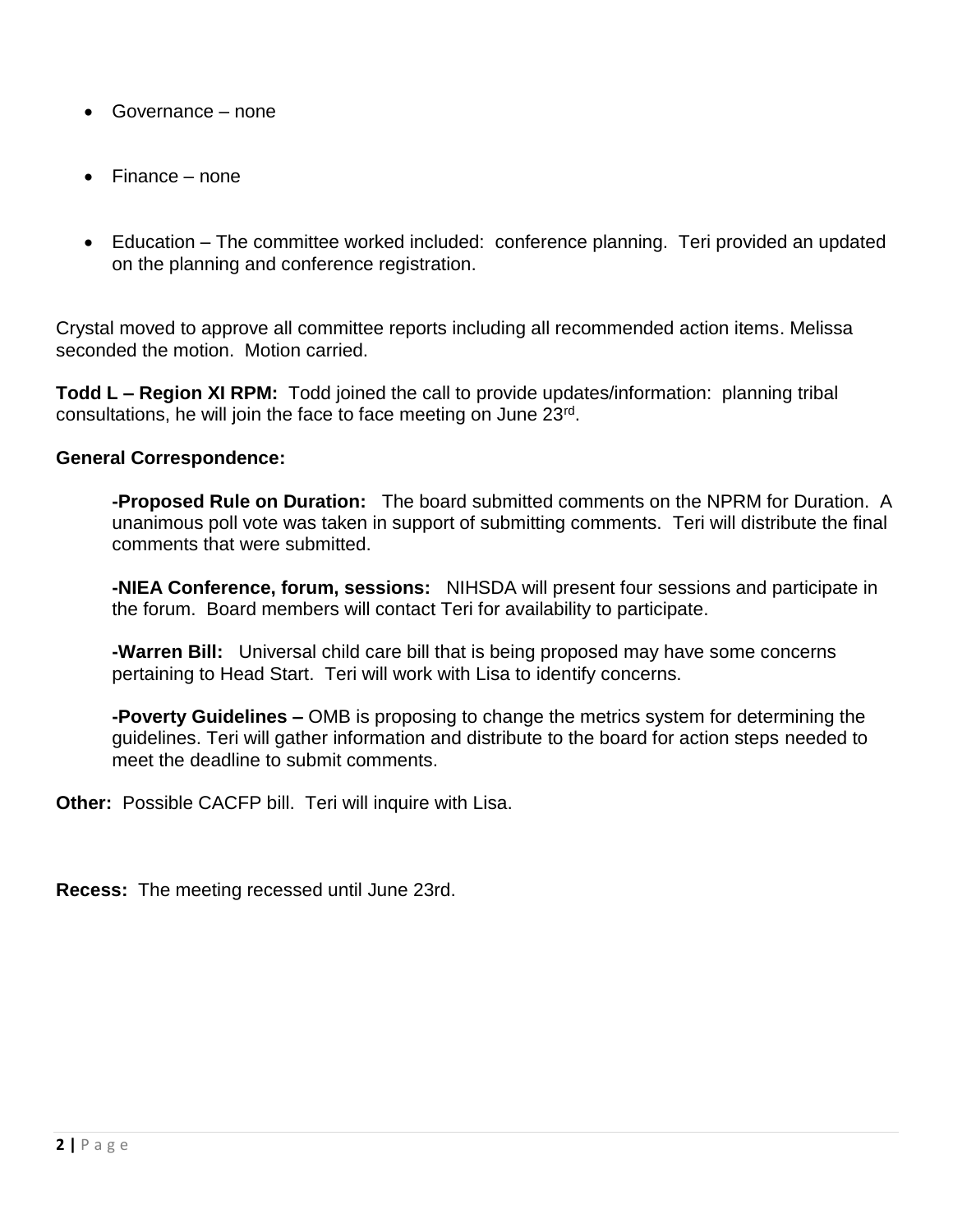- Governance none
- Finance none
- Education The committee worked included: conference planning. Teri provided an updated on the planning and conference registration.

Crystal moved to approve all committee reports including all recommended action items. Melissa seconded the motion. Motion carried.

**Todd L – Region XI RPM:** Todd joined the call to provide updates/information: planning tribal consultations, he will join the face to face meeting on June 23<sup>rd</sup>.

## **General Correspondence:**

**-Proposed Rule on Duration:** The board submitted comments on the NPRM for Duration. A unanimous poll vote was taken in support of submitting comments. Teri will distribute the final comments that were submitted.

**-NIEA Conference, forum, sessions:** NIHSDA will present four sessions and participate in the forum. Board members will contact Teri for availability to participate.

**-Warren Bill:** Universal child care bill that is being proposed may have some concerns pertaining to Head Start. Teri will work with Lisa to identify concerns.

**-Poverty Guidelines –** OMB is proposing to change the metrics system for determining the guidelines. Teri will gather information and distribute to the board for action steps needed to meet the deadline to submit comments.

**Other:** Possible CACFP bill. Teri will inquire with Lisa.

**Recess:** The meeting recessed until June 23rd.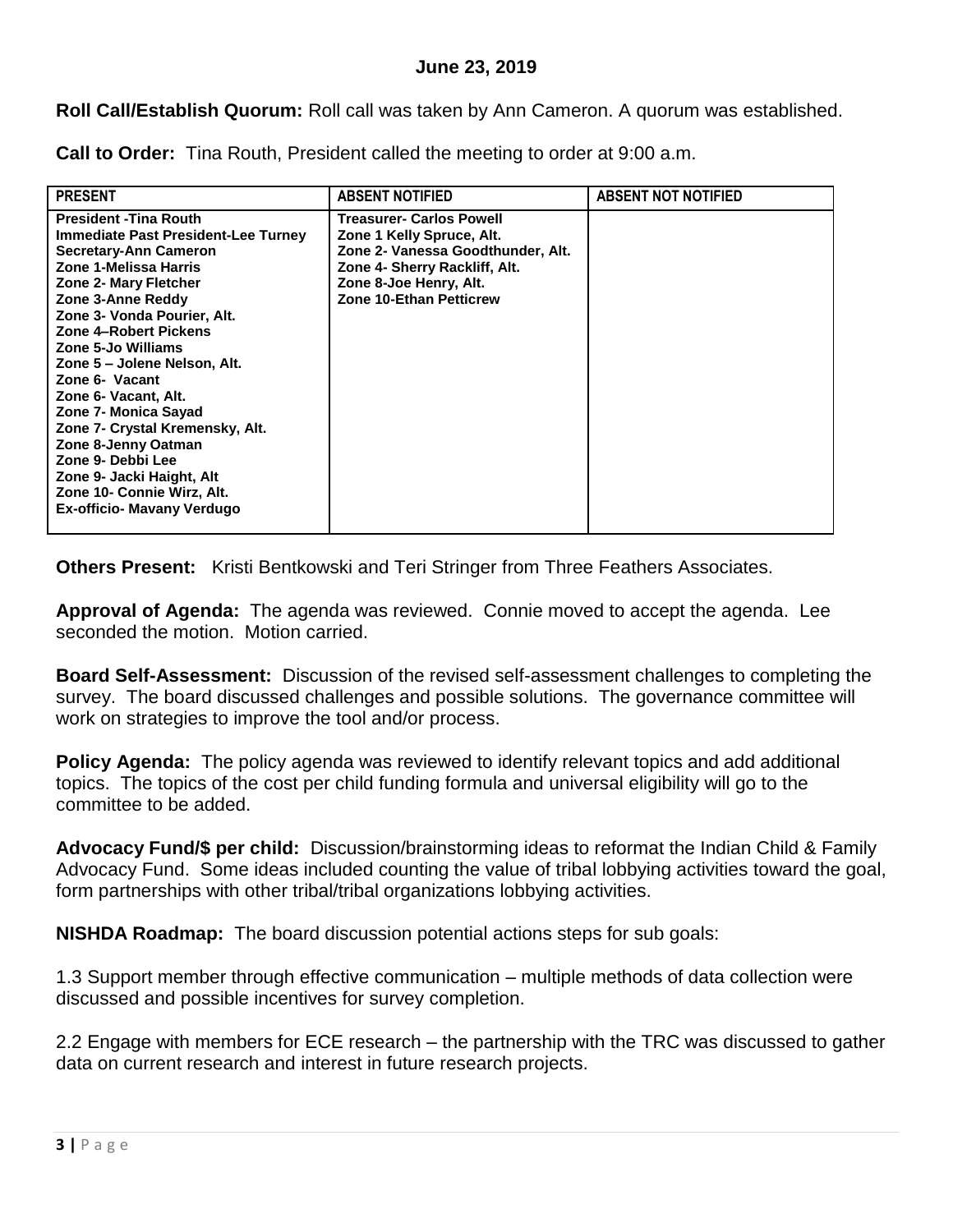**Roll Call/Establish Quorum:** Roll call was taken by Ann Cameron. A quorum was established.

**Call to Order:** Tina Routh, President called the meeting to order at 9:00 a.m.

| <b>PRESENT</b>                                                                                                                                                                                                                                                                                                                                                                                                                                                                                                                             | <b>ABSENT NOTIFIED</b>                                                                                                                                                                  | <b>ABSENT NOT NOTIFIED</b> |
|--------------------------------------------------------------------------------------------------------------------------------------------------------------------------------------------------------------------------------------------------------------------------------------------------------------------------------------------------------------------------------------------------------------------------------------------------------------------------------------------------------------------------------------------|-----------------------------------------------------------------------------------------------------------------------------------------------------------------------------------------|----------------------------|
| <b>President - Tina Routh</b><br>Immediate Past President-Lee Turney<br>Secretary-Ann Cameron<br>Zone 1-Melissa Harris<br><b>Zone 2- Mary Fletcher</b><br>Zone 3-Anne Reddy<br>Zone 3- Vonda Pourier, Alt.<br><b>Zone 4-Robert Pickens</b><br>Zone 5-Jo Williams<br>Zone 5 – Jolene Nelson, Alt.<br>Zone 6- Vacant<br>Zone 6- Vacant, Alt.<br>Zone 7- Monica Sayad<br>Zone 7- Crystal Kremensky, Alt.<br>Zone 8-Jenny Oatman<br>Zone 9- Debbi Lee<br>Zone 9- Jacki Haight, Alt<br>Zone 10- Connie Wirz, Alt.<br>Ex-officio- Mavany Verdugo | Treasurer- Carlos Powell<br>Zone 1 Kelly Spruce, Alt.<br>Zone 2- Vanessa Goodthunder, Alt.<br>Zone 4- Sherry Rackliff, Alt.<br>Zone 8-Joe Henry, Alt.<br><b>Zone 10-Ethan Petticrew</b> |                            |

**Others Present:** Kristi Bentkowski and Teri Stringer from Three Feathers Associates.

**Approval of Agenda:** The agenda was reviewed. Connie moved to accept the agenda. Lee seconded the motion. Motion carried.

**Board Self-Assessment:** Discussion of the revised self-assessment challenges to completing the survey. The board discussed challenges and possible solutions. The governance committee will work on strategies to improve the tool and/or process.

**Policy Agenda:** The policy agenda was reviewed to identify relevant topics and add additional topics. The topics of the cost per child funding formula and universal eligibility will go to the committee to be added.

**Advocacy Fund/\$ per child:** Discussion/brainstorming ideas to reformat the Indian Child & Family Advocacy Fund. Some ideas included counting the value of tribal lobbying activities toward the goal, form partnerships with other tribal/tribal organizations lobbying activities.

**NISHDA Roadmap:** The board discussion potential actions steps for sub goals:

1.3 Support member through effective communication – multiple methods of data collection were discussed and possible incentives for survey completion.

2.2 Engage with members for ECE research – the partnership with the TRC was discussed to gather data on current research and interest in future research projects.